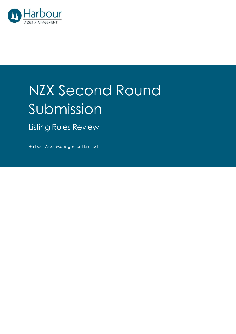

## NZX Second Round Submission

Listing Rules Review

Harbour Asset Management Limited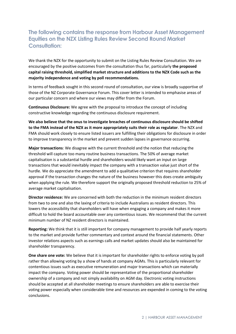## **The following contains the response from Harbour Asset Management Equities on the NZX Listing Rules Review Second Round Market Consultation:**

We thank the NZX for the opportunity to submit on the Listing Rules Review Consultation. We are encouraged by the positive outcomes from the consultation thus far, particularly **the proposed capital raising threshold, simplified market structure and additions to the NZX Code such as the majority independence and voting by poll recommendations.**

In terms of feedback sought in this second round of consultation, our view is broadly supportive of those of the NZ Corporate Governance Forum. This cover letter is intended to emphasise areas of our particular concern and where our views may differ from the Forum.

**Continuous Disclosure:** We agree with the proposal to introduce the concept of including constructive knowledge regarding the continuous disclosure requirement.

**We also believe that the onus to investigate breaches of continuous disclosure should be shifted to the FMA instead of the NZX as it more appropriately suits their role as regulator**. The NZX and FMA should work closely to ensure listed issuers are fulfilling their obligations for disclosure in order to improve transparency in the market and prevent sudden lapses in governance occurring.

**Major transactions**: We disagree with the current threshold and the notion that reducing the threshold will capture too many routine business transactions. The 50% of average market capitalisation is a substantial hurdle and shareholders would likely want an input on large transactions that would inevitably impact the company with a transaction value just short of the hurdle. We do appreciate the amendment to add a qualitative criterion that requires shareholder approval if the transaction changes the nature of the business however this does create ambiguity when applying the rule. We therefore support the originally proposed threshold reduction to 25% of average market capitalisation.

**Director residence:** We are concerned with both the reduction in the minimum resident directors from two to one and also the laxing of criteria to include Australians as resident directors. This lowers the accessibility that shareholders will have when engaging a company and makes it more difficult to hold the board accountable over any contentious issues. We recommend that the current minimum number of NZ resident directors is maintained.

**Reporting:** We think that it is still important for company management to provide half yearly reports to the market and provide further commentary and context around the financial statements. Other investor relations aspects such as earnings calls and market updates should also be maintained for shareholder transparency.

**One share one vote:** We believe that it is important for shareholder rights to enforce voting by poll rather than allowing voting by a show of hands at company AGMs. This is particularly relevant for contentious issues such as executive remuneration and major transactions which can materially impact the company. Voting power should be representative of the proportional shareholder ownership of a company and not simply availability on AGM day. Electronic voting instructions should be accepted at all shareholder meetings to ensure shareholders are able to exercise their voting power especially when considerable time and resources are expended in coming to the voting conclusions.